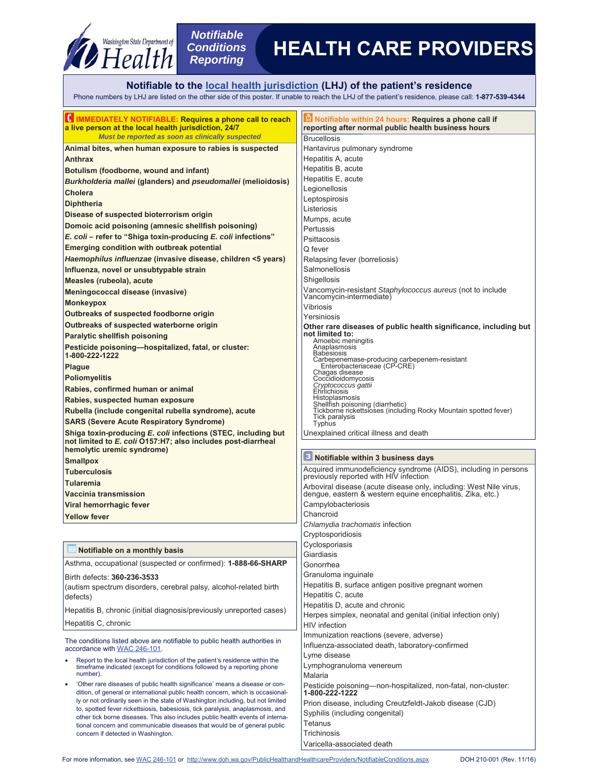

## **Notifiable to the local health jurisdiction (LHJ) of the patient's residence**

Phone numbers by LHJ are listed on the other side of this poster. If unable to reach the LHJ of the patient's residence, please call: **1-877-539-4344**

| HIMMEDIATELY NOTIFIABLE: Requires a phone call to reach<br>a live person at the local health jurisdiction, 24/7                                                       | Notifiable within 24 hours: Requires a phone call if<br>reporting after normal public health business hours                   |  |
|-----------------------------------------------------------------------------------------------------------------------------------------------------------------------|-------------------------------------------------------------------------------------------------------------------------------|--|
| Must be reported as soon as clinically suspected                                                                                                                      | <b>Brucellosis</b>                                                                                                            |  |
| Animal bites, when human exposure to rabies is suspected                                                                                                              | Hantavirus pulmonary syndrome                                                                                                 |  |
| <b>Anthrax</b>                                                                                                                                                        | Hepatitis A, acute                                                                                                            |  |
| Botulism (foodborne, wound and infant)                                                                                                                                | Hepatitis B, acute                                                                                                            |  |
| Burkholderia mallei (glanders) and pseudomallei (melioidosis)                                                                                                         | Hepatitis E, acute                                                                                                            |  |
| <b>Cholera</b>                                                                                                                                                        | Legionellosis                                                                                                                 |  |
| <b>Diphtheria</b>                                                                                                                                                     | Leptospirosis<br>Listeriosis                                                                                                  |  |
| Disease of suspected bioterrorism origin                                                                                                                              | Mumps, acute                                                                                                                  |  |
| Domoic acid poisoning (amnesic shellfish poisoning)                                                                                                                   | Pertussis                                                                                                                     |  |
| E. coli - refer to "Shiga toxin-producing E. coli infections"                                                                                                         | Psittacosis                                                                                                                   |  |
| <b>Emerging condition with outbreak potential</b>                                                                                                                     | Q fever                                                                                                                       |  |
| Haemophilus influenzae (invasive disease, children <5 years)                                                                                                          | Relapsing fever (borreliosis)                                                                                                 |  |
| Influenza, novel or unsubtypable strain                                                                                                                               | Salmonellosis                                                                                                                 |  |
| Measles (rubeola), acute                                                                                                                                              | Shigellosis                                                                                                                   |  |
| Meningococcal disease (invasive)                                                                                                                                      | Vancomycin-resistant Staphylococcus aureus (not to include                                                                    |  |
| <b>Monkeypox</b>                                                                                                                                                      | Vancomycin-intermediate)                                                                                                      |  |
| Outbreaks of suspected foodborne origin                                                                                                                               | Vibriosis<br>Yersiniosis                                                                                                      |  |
| Outbreaks of suspected waterborne origin                                                                                                                              | Other rare diseases of public health significance, including but                                                              |  |
| Paralytic shellfish poisoning                                                                                                                                         | not limited to:                                                                                                               |  |
| Pesticide poisoning-hospitalized, fatal, or cluster:<br>1-800-222-1222                                                                                                | Amoebic meningitis<br>Anaplasmosis<br><b>Babesiosis</b>                                                                       |  |
| <b>Plague</b>                                                                                                                                                         | Carbepenemase-producing carbepenem-resistant<br>Enterobacteriaceae (CP-CRE)                                                   |  |
| <b>Poliomyelitis</b>                                                                                                                                                  | Chagas disease                                                                                                                |  |
| Rabies, confirmed human or animal                                                                                                                                     | Coccidioidomycosis<br>Cryptococcus gattii<br>Ehrlichiosis                                                                     |  |
| Rabies, suspected human exposure                                                                                                                                      | Histoplasmosis                                                                                                                |  |
| Rubella (include congenital rubella syndrome), acute                                                                                                                  | Shellfish poisoning (diarrhetic)<br>Tickborne rickettsioses (including Rocky Mountain spotted fever)                          |  |
| <b>SARS (Severe Acute Respiratory Syndrome)</b>                                                                                                                       | <b>Tick paralysis</b><br><b>Typhus</b>                                                                                        |  |
| Shiga toxin-producing E. coli infections (STEC, including but<br>not limited to E. coli 0157:H7; also includes post-diarrheal<br>hemolytic uremic syndrome)           | Unexplained critical illness and death                                                                                        |  |
|                                                                                                                                                                       | <sup>3</sup> Notifiable within 3 business days                                                                                |  |
| <b>Smallpox</b><br><b>Tuberculosis</b>                                                                                                                                | Acquired immunodeficiency syndrome (AIDS), including in persons                                                               |  |
|                                                                                                                                                                       | previously reported with HIV infection                                                                                        |  |
| <b>Tularemia</b>                                                                                                                                                      | Arboviral disease (acute disease only, including: West Nile virus, dengue, eastern & western equine encephalitis, Zika, etc.) |  |
| Vaccinia transmission                                                                                                                                                 | Campylobacteriosis                                                                                                            |  |
| Viral hemorrhagic fever                                                                                                                                               | Chancroid                                                                                                                     |  |
| <b>Yellow fever</b>                                                                                                                                                   | Chlamydia trachomatis infection                                                                                               |  |
|                                                                                                                                                                       | Cryptosporidiosis                                                                                                             |  |
|                                                                                                                                                                       | Cyclosporiasis                                                                                                                |  |
| Notifiable on a monthly basis                                                                                                                                         | Giardiasis                                                                                                                    |  |
| Asthma, occupational (suspected or confirmed): <b>1-888-66-SHARP</b>                                                                                                  | Gonorrhea                                                                                                                     |  |
| Birth defects: 360-236-3533                                                                                                                                           | Granuloma inguinale                                                                                                           |  |
| (autism spectrum disorders, cerebral palsy, alcohol-related birth                                                                                                     | Hepatitis B, surface antigen positive pregnant women                                                                          |  |
| defects)                                                                                                                                                              |                                                                                                                               |  |
|                                                                                                                                                                       | Hepatitis C, acute                                                                                                            |  |
|                                                                                                                                                                       | Hepatitis D, acute and chronic                                                                                                |  |
| Hepatitis B, chronic (initial diagnosis/previously unreported cases)                                                                                                  | Herpes simplex, neonatal and genital (initial infection only)                                                                 |  |
| Hepatitis C, chronic                                                                                                                                                  | <b>HIV</b> infection                                                                                                          |  |
| The conditions listed above are notifiable to public health authorities in<br>accordance with WAC 246-101.                                                            | Immunization reactions (severe, adverse)<br>Influenza-associated death, laboratory-confirmed                                  |  |
| Report to the local health jurisdiction of the patient's residence within the<br>timeframe indicated (except for conditions followed by a reporting phone<br>number). | Lyme disease<br>Lymphogranuloma venereum                                                                                      |  |
| 'Other rare diseases of public health significance' means a disease or con-<br>$\bullet$                                                                              | Malaria                                                                                                                       |  |
| dition, of general or international public health concern, which is occasional-                                                                                       | Pesticide poisoning—non-hospitalized, non-fatal, non-cluster:<br>1-800-222-1222                                               |  |
| ly or not ordinarily seen in the state of Washington including, but not limited                                                                                       | Prion disease, including Creutzfeldt-Jakob disease (CJD)                                                                      |  |
| to, spotted fever rickettsiosis, babesiosis, tick paralysis, anaplasmosis, and<br>other tick borne diseases. This also includes public health events of interna-      | Syphilis (including congenital)                                                                                               |  |
| tional concern and communicable diseases that would be of general public                                                                                              | Tetanus                                                                                                                       |  |
| concern if detected in Washington.                                                                                                                                    | Trichinosis<br>Varicella-associated death                                                                                     |  |